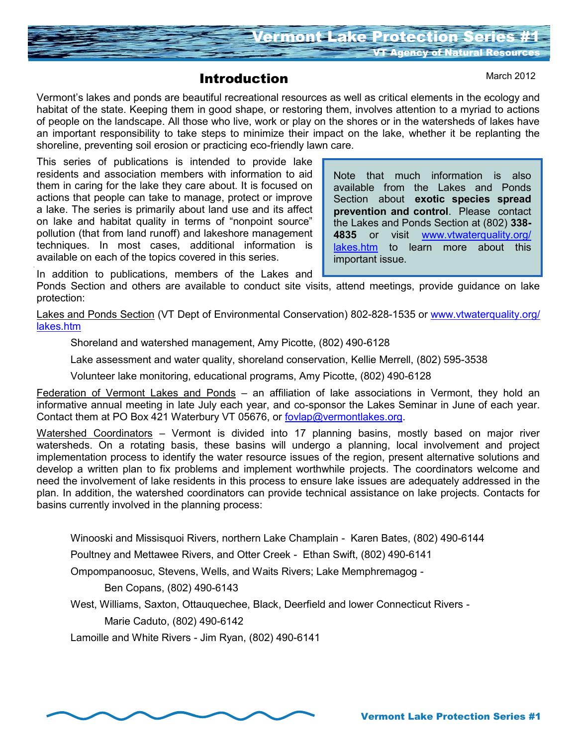

## Introduction

Vermont's lakes and ponds are beautiful recreational resources as well as critical elements in the ecology and habitat of the state. Keeping them in good shape, or restoring them, involves attention to a myriad to actions of people on the landscape. All those who live, work or play on the shores or in the watersheds of lakes have an important responsibility to take steps to minimize their impact on the lake, whether it be replanting the shoreline, preventing soil erosion or practicing eco-friendly lawn care.

This series of publications is intended to provide lake residents and association members with information to aid them in caring for the lake they care about. It is focused on actions that people can take to manage, protect or improve a lake. The series is primarily about land use and its affect on lake and habitat quality in terms of "nonpoint source" pollution (that from land runoff) and lakeshore management techniques. In most cases, additional information is available on each of the topics covered in this series.

Note that much information is also available from the Lakes and Ponds Section about **exotic species spread prevention and control**. Please contact the Lakes and Ponds Section at (802) **338- 4835** or visit [www.vtwaterquality.org/](http://www.vtwaterquality.org/lakes.htm) [lakes.htm](http://www.vtwaterquality.org/lakes.htm) to learn more about this important issue.

In addition to publications, members of the Lakes and

Ponds Section and others are available to conduct site visits, attend meetings, provide guidance on lake protection:

Lakes and Ponds Section (VT Dept of Environmental Conservation) 802-828-1535 or [www.vtwaterquality.org/](http://www.vtwaterquality.org/lakes.htm) [lakes.htm](http://www.vtwaterquality.org/lakes.htm)

Shoreland and watershed management, Amy Picotte, (802) 490-6128

Lake assessment and water quality, shoreland conservation, Kellie Merrell, (802) 595-3538

Volunteer lake monitoring, educational programs, Amy Picotte, (802) 490-6128

Federation of Vermont Lakes and Ponds - an affiliation of lake associations in Vermont, they hold an informative annual meeting in late July each year, and co-sponsor the Lakes Seminar in June of each year. Contact them at PO Box 421 Waterbury VT 05676, or [fovlap@vermontlakes.org.](mailto:Jackie@sprague.org)

Watershed Coordinators – Vermont is divided into 17 planning basins, mostly based on major river watersheds. On a rotating basis, these basins will undergo a planning, local involvement and project implementation process to identify the water resource issues of the region, present alternative solutions and develop a written plan to fix problems and implement worthwhile projects. The coordinators welcome and need the involvement of lake residents in this process to ensure lake issues are adequately addressed in the plan. In addition, the watershed coordinators can provide technical assistance on lake projects. Contacts for basins currently involved in the planning process:

Winooski and Missisquoi Rivers, northern Lake Champlain - Karen Bates, (802) 490-6144

Poultney and Mettawee Rivers, and Otter Creek - Ethan Swift, (802) 490-6141

Ompompanoosuc, Stevens, Wells, and Waits Rivers; Lake Memphremagog -

Ben Copans, (802) 490-6143

West, Williams, Saxton, Ottauquechee, Black, Deerfield and lower Connecticut Rivers -

Marie Caduto, (802) 490-6142

Lamoille and White Rivers - Jim Ryan, (802) 490-6141

March 2012